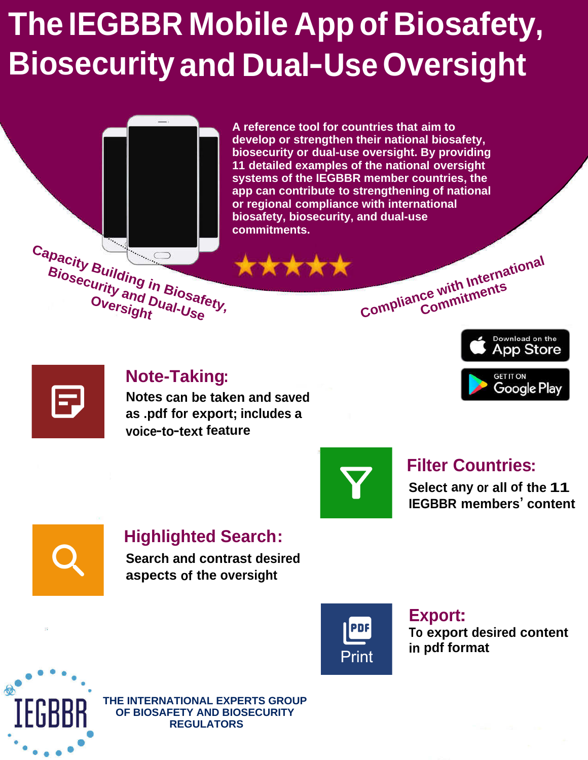# **The IEGBBR Mobile App of Biosafety, Biosecurity and Dual-Use Oversight**



## **Note-Taking:**

**Notes can be taken and saved as .pdf for export; includes a voice-to-text feature**



## **Filter Countries:**

**Select any or all of the 11 IEGBBR members' content**



## **Highlighted Search:**

**Search and contrast desired aspects of the oversight**



### **Export: To export desired content in pdf format**



**THE INTERNATIONAL EXPERTS GROUP OF BIOSAFETY AND BIOSECURITY REGULATORS**